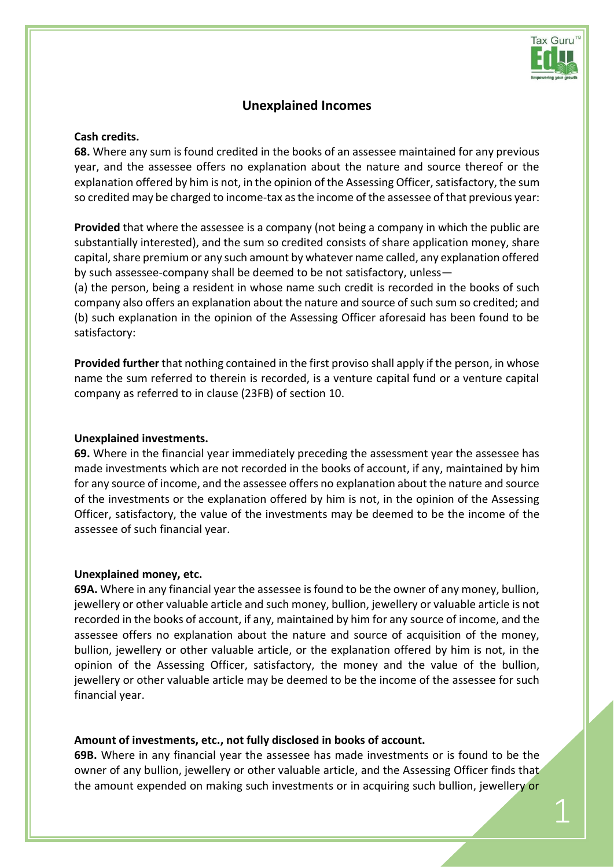

1

# **Unexplained Incomes**

### **Cash credits.**

**68.** Where any sum is found credited in the books of an assessee maintained for any previous year, and the assessee offers no explanation about the nature and source thereof or the explanation offered by him is not, in the opinion of the Assessing Officer, satisfactory, the sum so credited may be charged to income-tax as the income of the assessee of that previous year:

**Provided** that where the assessee is a company (not being a company in which the public are substantially interested), and the sum so credited consists of share application money, share capital, share premium or any such amount by whatever name called, any explanation offered by such assessee-company shall be deemed to be not satisfactory, unless—

(a) the person, being a resident in whose name such credit is recorded in the books of such company also offers an explanation about the nature and source of such sum so credited; and (b) such explanation in the opinion of the Assessing Officer aforesaid has been found to be satisfactory:

**Provided further** that nothing contained in the first proviso shall apply if the person, in whose name the sum referred to therein is recorded, is a venture capital fund or a venture capital company as referred to in clause (23FB) of [section 10.](javascript:ShowMainContent()

### **Unexplained investments.**

**69.** Where in the financial year immediately preceding the assessment year the assessee has made investments which are not recorded in the books of account, if any, maintained by him for any source of income, and the assessee offers no explanation about the nature and source of the investments or the explanation offered by him is not, in the opinion of the Assessing Officer, satisfactory, the value of the investments may be deemed to be the income of the assessee of such financial year.

#### **Unexplained money, etc.**

**69A.** Where in any financial year the assessee is found to be the owner of any money, bullion, jewellery or other valuable article and such money, bullion, jewellery or valuable article is not recorded in the books of account, if any, maintained by him for any source of income, and the assessee offers no explanation about the nature and source of acquisition of the money, bullion, jewellery or other valuable article, or the explanation offered by him is not, in the opinion of the Assessing Officer, satisfactory, the money and the value of the bullion, jewellery or other valuable article may be deemed to be the income of the assessee for such financial year.

#### **Amount of investments, etc., not fully disclosed in books of account.**

**69B.** Where in any financial year the assessee has made investments or is found to be the owner of any bullion, jewellery or other valuable article, and the Assessing Officer finds that the amount expended on making such investments or in acquiring such bullion, jewellery or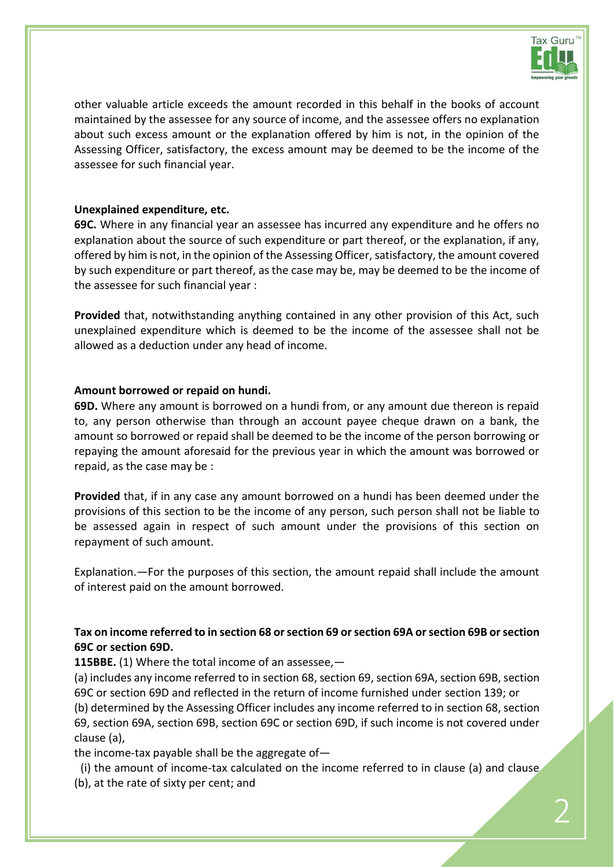

other valuable article exceeds the amount recorded in this behalf in the books of account maintained by the assessee for any source of income, and the assessee offers no explanation about such excess amount or the explanation offered by him is not, in the opinion of the Assessing Officer, satisfactory, the excess amount may be deemed to be the income of the assessee for such financial year.

## **Unexplained expenditure, etc.**

**69C.** Where in any financial year an assessee has incurred any expenditure and he offers no explanation about the source of such expenditure or part thereof, or the explanation, if any, offered by him is not, in the opinion of the Assessing Officer, satisfactory, the amount covered by such expenditure or part thereof, as the case may be, may be deemed to be the income of the assessee for such financial year :

**Provided** that, notwithstanding anything contained in any other provision of this Act, such unexplained expenditure which is deemed to be the income of the assessee shall not be allowed as a deduction under any head of income.

## **Amount borrowed or repaid on hundi.**

**69D.** Where any amount is borrowed on a hundi from, or any amount due thereon is repaid to, any person otherwise than through an account payee cheque drawn on a bank, the amount so borrowed or repaid shall be deemed to be the income of the person borrowing or repaying the amount aforesaid for the previous year in which the amount was borrowed or repaid, as the case may be :

**Provided** that, if in any case any amount borrowed on a hundi has been deemed under the provisions of this section to be the income of any person, such person shall not be liable to be assessed again in respect of such amount under the provisions of this section on repayment of such amount.

Explanation.—For the purposes of this section, the amount repaid shall include the amount of interest paid on the amount borrowed.

## **Tax on income referred to in [section 68](javascript:ShowMainContent() o[r section 69](javascript:ShowMainContent() o[r section 69A](javascript:ShowMainContent() o[r section 69B](javascript:ShowMainContent() o[r section](javascript:ShowMainContent()  [69C](javascript:ShowMainContent() o[r section 69D.](javascript:ShowMainContent()**

**115BBE.** (1) Where the total income of an assessee,—

(a) includes any income referred to in [section 68,](javascript:ShowMainContent() [section 69,](javascript:ShowMainContent() [section 69A,](javascript:ShowMainContent() [section 69B,](javascript:ShowMainContent() [section](javascript:ShowMainContent()  [69C](javascript:ShowMainContent() or [section 69D](javascript:ShowMainContent() and reflected in the return of income furnished under [section 139;](javascript:ShowMainContent() or

(b) determined by the Assessing Officer includes any income referred to in [section 68,](javascript:ShowMainContent() [section](javascript:ShowMainContent()  [69,](javascript:ShowMainContent() [section 69A,](javascript:ShowMainContent() [section 69B,](javascript:ShowMainContent() [section 69C](javascript:ShowMainContent() or [section 69D,](javascript:ShowMainContent() if such income is not covered under clause (a),

the income-tax payable shall be the aggregate of—

(i) the amount of income-tax calculated on the income referred to in clause (a) and clause (b), at the rate of sixty per cent; and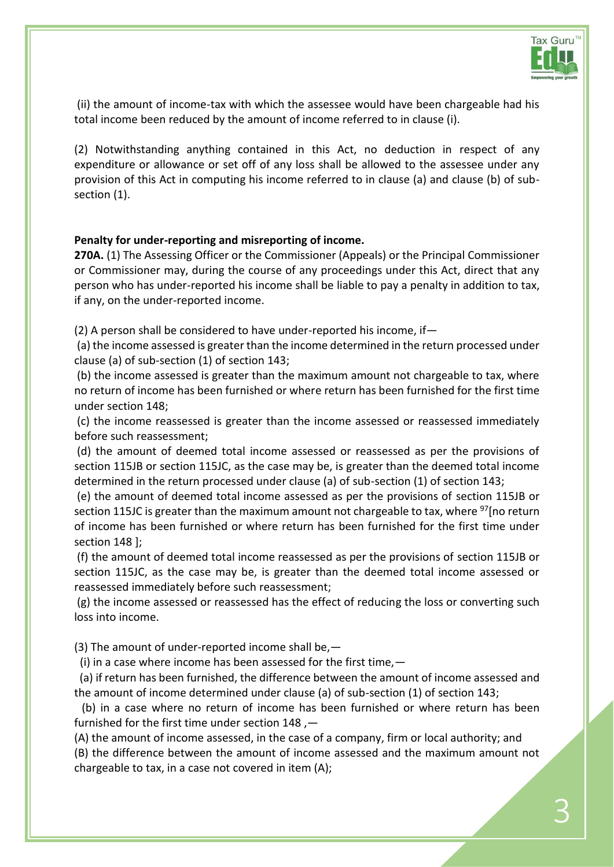

(ii) the amount of income-tax with which the assessee would have been chargeable had his total income been reduced by the amount of income referred to in clause (i).

(2) Notwithstanding anything contained in this Act, no deduction in respect of any expenditure or allowance or set off of any loss shall be allowed to the assessee under any provision of this Act in computing his income referred to in clause (a) and clause (b) of subsection (1).

## **Penalty for under-reporting and misreporting of income.**

**270A.** (1) The Assessing Officer or the Commissioner (Appeals) or the Principal Commissioner or Commissioner may, during the course of any proceedings under this Act, direct that any person who has under-reported his income shall be liable to pay a penalty in addition to tax, if any, on the under-reported income.

(2) A person shall be considered to have under-reported his income, if—

(a) the income assessed is greater than the income determined in the return processed under clause (a) of sub-section (1) of [section 143;](javascript:ShowMainContent()

(b) the income assessed is greater than the maximum amount not chargeable to tax, where no return of income has been furnished or where return has been furnished for the first time under [section 148;](javascript:ShowMainContent()

(c) the income reassessed is greater than the income assessed or reassessed immediately before such reassessment;

(d) the amount of deemed total income assessed or reassessed as per the provisions of [section 115JB](javascript:ShowMainContent() or [section 115JC,](javascript:ShowMainContent() as the case may be, is greater than the deemed total income determined in the return processed under clause (a) of sub-section (1) of [section 143;](javascript:ShowMainContent()

(e) the amount of deemed total income assessed as per the provisions of [section 115JB](javascript:ShowMainContent() or [section 115JC](javascript:ShowMainContent() is greater than the maximum amount not chargeable to tax, where <sup>[97](javascript:ShowFootnote()</sup>[no return of income has been furnished or where return has been furnished for the first time under [section 148](javascript:ShowMainContent() ];

(f) the amount of deemed total income reassessed as per the provisions of [section 115JB](javascript:ShowMainContent() or [section 115JC,](javascript:ShowMainContent() as the case may be, is greater than the deemed total income assessed or reassessed immediately before such reassessment;

(g) the income assessed or reassessed has the effect of reducing the loss or converting such loss into income.

(3) The amount of under-reported income shall be,—

(i) in a case where income has been assessed for the first time,  $-$ 

(a) if return has been furnished, the difference between the amount of income assessed and the amount of income determined under clause (a) of sub-section (1) o[f section 143;](javascript:ShowMainContent()

(b) in a case where no return of income has been furnished or where return has been furnished for the first time under [section 148](javascript:ShowMainContent() ,—

(A) the amount of income assessed, in the case of a company, firm or local authority; and (B) the difference between the amount of income assessed and the maximum amount not chargeable to tax, in a case not covered in item (A);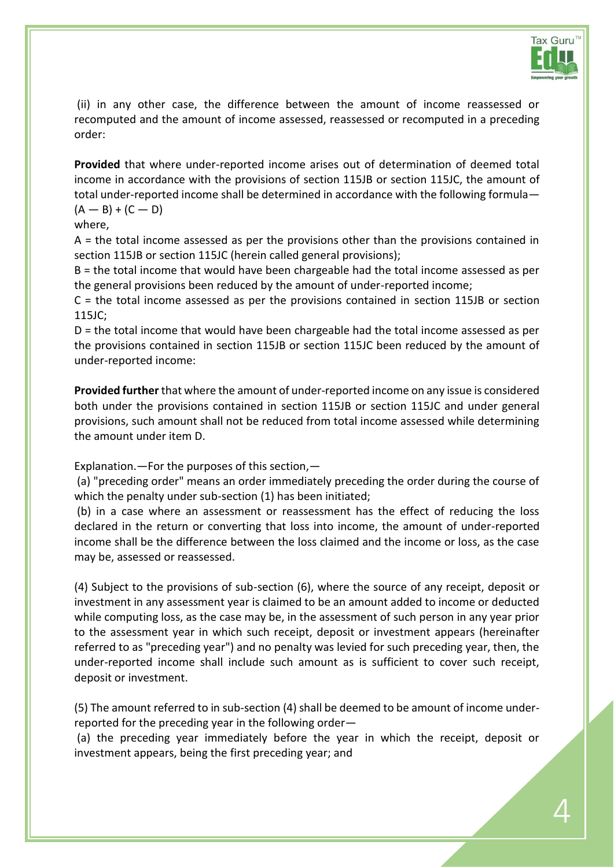

(ii) in any other case, the difference between the amount of income reassessed or recomputed and the amount of income assessed, reassessed or recomputed in a preceding order:

**Provided** that where under-reported income arises out of determination of deemed total income in accordance with the provisions of [section 115JB](javascript:ShowMainContent() or [section 115JC,](javascript:ShowMainContent() the amount of total under-reported income shall be determined in accordance with the following formula—  $(A - B) + (C - D)$ 

## where,

A = the total income assessed as per the provisions other than the provisions contained in [section 115JB](javascript:ShowMainContent() or [section 115JC](javascript:ShowMainContent() (herein called general provisions);

B = the total income that would have been chargeable had the total income assessed as per the general provisions been reduced by the amount of under-reported income;

C = the total income assessed as per the provisions contained in [section 115JB](javascript:ShowMainContent() or [section](javascript:ShowMainContent()  [115JC;](javascript:ShowMainContent()

D = the total income that would have been chargeable had the total income assessed as per the provisions contained in [section 115JB](javascript:ShowMainContent() or [section 115JC](javascript:ShowMainContent() been reduced by the amount of under-reported income:

**Provided further** that where the amount of under-reported income on any issue is considered both under the provisions contained in [section 115JB](javascript:ShowMainContent() or [section 115JC](javascript:ShowMainContent() and under general provisions, such amount shall not be reduced from total income assessed while determining the amount under item D.

Explanation.—For the purposes of this section,—

(a) "preceding order" means an order immediately preceding the order during the course of which the penalty under sub-section (1) has been initiated;

(b) in a case where an assessment or reassessment has the effect of reducing the loss declared in the return or converting that loss into income, the amount of under-reported income shall be the difference between the loss claimed and the income or loss, as the case may be, assessed or reassessed.

(4) Subject to the provisions of sub-section (6), where the source of any receipt, deposit or investment in any assessment year is claimed to be an amount added to income or deducted while computing loss, as the case may be, in the assessment of such person in any year prior to the assessment year in which such receipt, deposit or investment appears (hereinafter referred to as "preceding year") and no penalty was levied for such preceding year, then, the under-reported income shall include such amount as is sufficient to cover such receipt, deposit or investment.

(5) The amount referred to in sub-section (4) shall be deemed to be amount of income underreported for the preceding year in the following order—

(a) the preceding year immediately before the year in which the receipt, deposit or investment appears, being the first preceding year; and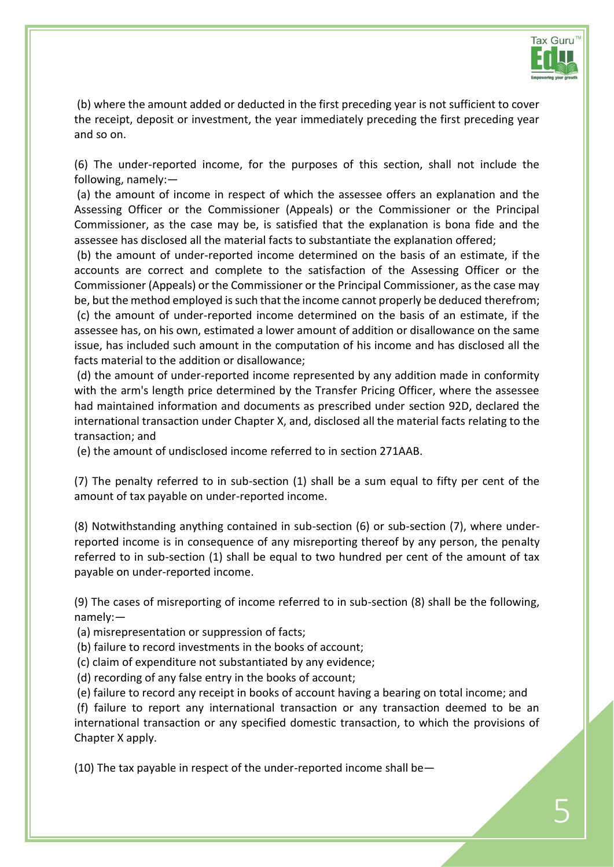

(b) where the amount added or deducted in the first preceding year is not sufficient to cover the receipt, deposit or investment, the year immediately preceding the first preceding year and so on.

(6) The under-reported income, for the purposes of this section, shall not include the following, namely:—

(a) the amount of income in respect of which the assessee offers an explanation and the Assessing Officer or the Commissioner (Appeals) or the Commissioner or the Principal Commissioner, as the case may be, is satisfied that the explanation is bona fide and the assessee has disclosed all the material facts to substantiate the explanation offered;

(b) the amount of under-reported income determined on the basis of an estimate, if the accounts are correct and complete to the satisfaction of the Assessing Officer or the Commissioner (Appeals) or the Commissioner or the Principal Commissioner, as the case may be, but the method employed is such that the income cannot properly be deduced therefrom; (c) the amount of under-reported income determined on the basis of an estimate, if the assessee has, on his own, estimated a lower amount of addition or disallowance on the same issue, has included such amount in the computation of his income and has disclosed all the facts material to the addition or disallowance;

(d) the amount of under-reported income represented by any addition made in conformity with the arm's length price determined by the Transfer Pricing Officer, where the assessee had maintained information and documents as prescribed under [section 92D,](javascript:ShowMainContent() declared the international transaction under Chapter X, and, disclosed all the material facts relating to the transaction; and

(e) the amount of undisclosed income referred to in [section 271AAB.](javascript:ShowMainContent()

(7) The penalty referred to in sub-section (1) shall be a sum equal to fifty per cent of the amount of tax payable on under-reported income.

(8) Notwithstanding anything contained in sub-section (6) or sub-section (7), where underreported income is in consequence of any misreporting thereof by any person, the penalty referred to in sub-section (1) shall be equal to two hundred per cent of the amount of tax payable on under-reported income.

(9) The cases of misreporting of income referred to in sub-section (8) shall be the following, namely:—

(a) misrepresentation or suppression of facts;

(b) failure to record investments in the books of account;

(c) claim of expenditure not substantiated by any evidence;

(d) recording of any false entry in the books of account;

(e) failure to record any receipt in books of account having a bearing on total income; and

(f) failure to report any international transaction or any transaction deemed to be an international transaction or any specified domestic transaction, to which the provisions of Chapter X apply.

(10) The tax payable in respect of the under-reported income shall be—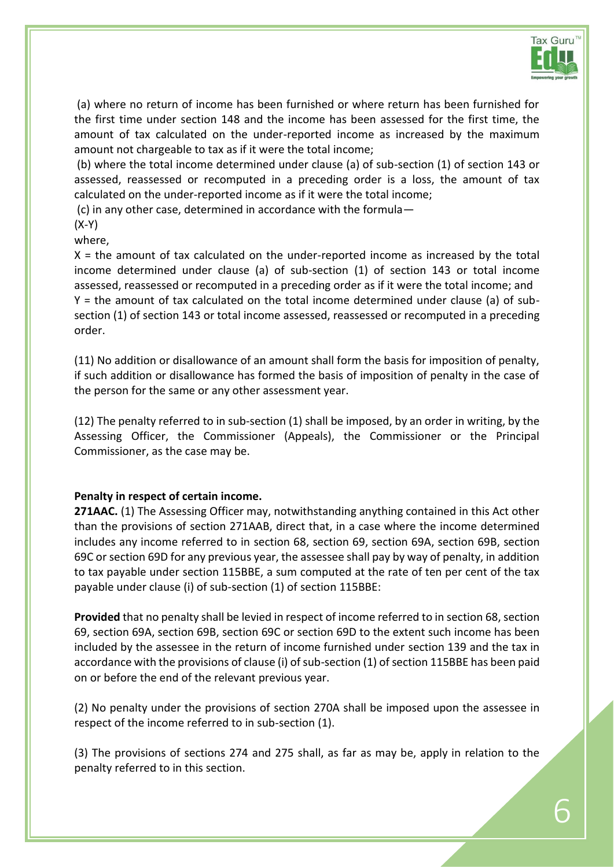

(a) where no return of income has been furnished or where return has been furnished for the first time under [section 148](javascript:ShowMainContent() and the income has been assessed for the first time, the amount of tax calculated on the under-reported income as increased by the maximum amount not chargeable to tax as if it were the total income;

(b) where the total income determined under clause (a) of sub-section (1) of [section 143](javascript:ShowMainContent() or assessed, reassessed or recomputed in a preceding order is a loss, the amount of tax calculated on the under-reported income as if it were the total income;

(c) in any other case, determined in accordance with the formula—

(X-Y)

where,

 $X =$  the amount of tax calculated on the under-reported income as increased by the total income determined under clause (a) of sub-section (1) of [section 143](javascript:ShowMainContent() or total income assessed, reassessed or recomputed in a preceding order as if it were the total income; and Y = the amount of tax calculated on the total income determined under clause (a) of subsection (1) of [section 143](javascript:ShowMainContent() or total income assessed, reassessed or recomputed in a preceding order.

(11) No addition or disallowance of an amount shall form the basis for imposition of penalty, if such addition or disallowance has formed the basis of imposition of penalty in the case of the person for the same or any other assessment year.

(12) The penalty referred to in sub-section (1) shall be imposed, by an order in writing, by the Assessing Officer, the Commissioner (Appeals), the Commissioner or the Principal Commissioner, as the case may be.

## **Penalty in respect of certain income.**

**271AAC.** (1) The Assessing Officer may, notwithstanding anything contained in this Act other than the provisions of [section 271AAB,](javascript:ShowMainContent() direct that, in a case where the income determined includes any income referred to in [section 68,](javascript:ShowMainContent() [section](javascript:ShowMainContent() 69, [section 69A,](javascript:ShowMainContent() [section 69B,](javascript:ShowMainContent() [section](javascript:ShowMainContent()  [69C](javascript:ShowMainContent() or [section 69D](javascript:ShowMainContent() for any previous year, the assessee shall pay by way of penalty, in addition to tax payable under [section 115BBE,](javascript:ShowMainContent() a sum computed at the rate of ten per cent of the tax payable under clause (i) of sub-section (1) of [section 115BBE:](javascript:ShowMainContent()

**Provided** that no penalty shall be levied in respect of income referred to in [section 68,](javascript:ShowMainContent() [section](javascript:ShowMainContent()  [69,](javascript:ShowMainContent() [section 69A,](javascript:ShowMainContent() [section 69B,](javascript:ShowMainContent() [section 69C](javascript:ShowMainContent() or [section 69D](javascript:ShowMainContent() to the extent such income has been included by the assessee in the return of income furnished under [section 139](javascript:ShowMainContent() and the tax in accordance with the provisions of clause (i) of sub-section (1) of [section 115BBE](javascript:ShowMainContent() has been paid on or before the end of the relevant previous year.

(2) No penalty under the provisions of [section 270A](javascript:ShowMainContent() shall be imposed upon the assessee in respect of the income referred to in sub-section (1).

(3) The provisions of [sections 274](javascript:ShowMainContent() and [275](javascript:ShowMainContent() shall, as far as may be, apply in relation to the penalty referred to in this section.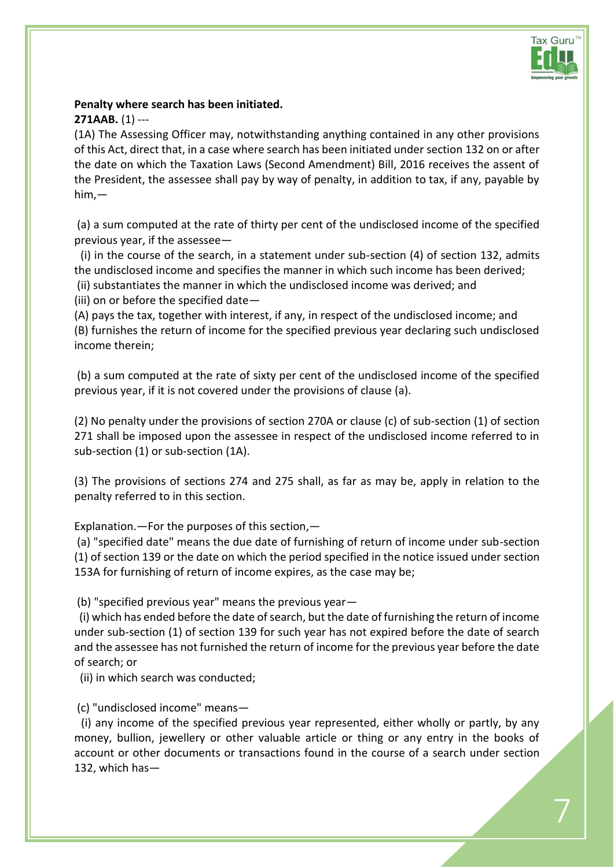

## **Penalty where search has been initiated.**

## **271AAB.** (1) ---

(1A) The Assessing Officer may, notwithstanding anything contained in any other provisions of this Act, direct that, in a case where search has been initiated unde[r section 132 o](javascript:ShowMainContent()n or after the date on which the Taxation Laws (Second Amendment) Bill, 2016 receives the assent of the President, the assessee shall pay by way of penalty, in addition to tax, if any, payable by him,—

(a) a sum computed at the rate of thirty per cent of the undisclosed income of the specified previous year, if the assessee—

(i) in the course of the search, in a statement under sub-section (4) of [section 132,](javascript:ShowMainContent() admits the undisclosed income and specifies the manner in which such income has been derived;

(ii) substantiates the manner in which the undisclosed income was derived; and

(iii) on or before the specified date—

(A) pays the tax, together with interest, if any, in respect of the undisclosed income; and (B) furnishes the return of income for the specified previous year declaring such undisclosed income therein;

(b) a sum computed at the rate of sixty per cent of the undisclosed income of the specified previous year, if it is not covered under the provisions of clause (a).

(2) No penalty under the provisions of [section 270A o](javascript:ShowMainContent()r clause (c) of sub-section (1) of [section](javascript:ShowMainContent()  [271 s](javascript:ShowMainContent()hall be imposed upon the assessee in respect of the undisclosed income referred to in sub-section (1) or sub-section (1A).

(3) The provisions of [sections 274](javascript:ShowMainContent() and [275](javascript:ShowMainContent() shall, as far as may be, apply in relation to the penalty referred to in this section.

Explanation.—For the purposes of this section,—

(a) "specified date" means the due date of furnishing of return of income under sub-section (1) of [section 139 o](javascript:ShowMainContent()r the date on which the period specified in the notice issued under [section](javascript:ShowMainContent()  [153A f](javascript:ShowMainContent()or furnishing of return of income expires, as the case may be;

(b) "specified previous year" means the previous year—

(i) which has ended before the date of search, but the date of furnishing the return of income under sub-section (1) of [section 139 f](javascript:ShowMainContent()or such year has not expired before the date of search and the assessee has not furnished the return of income for the previous year before the date of search; or

(ii) in which search was conducted;

(c) "undisclosed income" means—

(i) any income of the specified previous year represented, either wholly or partly, by any money, bullion, jewellery or other valuable article or thing or any entry in the books of account or other documents or transactions found in the course of a search under [section](javascript:ShowMainContent()  [132,](javascript:ShowMainContent() which has—